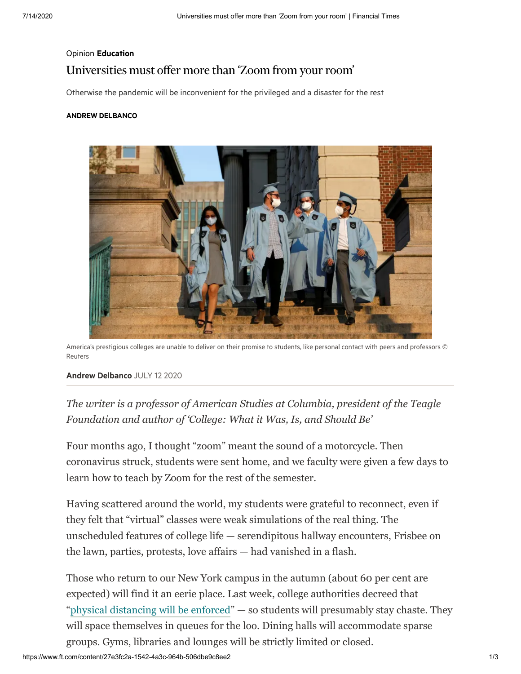# Opinion [Education](https://www.ft.com/education) Universities must offer more than 'Zoom from your room'

Otherwise the pandemic will be inconvenient for the privileged and a disaster for the rest

## ANDREW [DELBANCO](https://www.ft.com/stream/a940c7fd-8823-4377-a7ad-31ca15d40b0c)



America's prestigious colleges are unable to deliver on their promise to students, like personal contact with peers and professors © Reuters

### Andrew [Delbanco](https://www.ft.com/stream/a940c7fd-8823-4377-a7ad-31ca15d40b0c) JULY 12 2020

*The writer is a professor of American Studies at Columbia, president of the Teagle Foundation and author of 'College: What it Was, Is, and Should Be'*

Four months ago, I thought "zoom" meant the sound of a motorcycle. Then coronavirus struck, students were sent home, and we faculty were given a few days to learn how to teach by Zoom for the rest of the semester.

Having scattered around the world, my students were grateful to reconnect, even if they felt that "virtual" classes were weak simulations of the real thing. The unscheduled features of college life — serendipitous hallway encounters, Frisbee on the lawn, parties, protests, love affairs — had vanished in a flash.

Those who return to our New York campus in the autumn (about 60 per cent are expected) will find it an eerie place. Last week, college authorities decreed that "[physical distancing will be enforced](https://news.columbia.edu/news/columbia-president-outlines-plans-safe-return-campus)" — so students will presumably stay chaste. They will space themselves in queues for the loo. Dining halls will accommodate sparse groups. Gyms, libraries and lounges will be strictly limited or closed.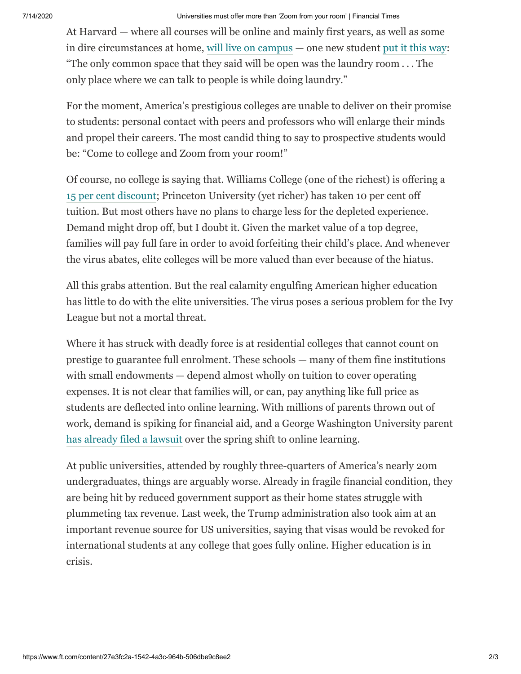#### 7/14/2020 Universities must offer more than 'Zoom from your room' | Financial Times

At Harvard — where all courses will be online and mainly first years, as well as some in dire circumstances at home, [will live on campus](https://www.nytimes.com/2020/07/11/style/harvard-students-coronavirus.html) — one new student [put it this way:](https://www.thecrimson.com/article/2020/7/8/harvard-coronavirus-fall-freshmen-reactions/) "The only common space that they said will be open was the laundry room . . . The only place where we can talk to people is while doing laundry."

For the moment, America's prestigious colleges are unable to deliver on their promise to students: personal contact with peers and professors who will enlarge their minds and propel their careers. The most candid thing to say to prospective students would be: "Come to college and Zoom from your room!"

Of course, no college is saying that. Williams College (one of the richest) is offering a [15 per cent discount](https://president.williams.edu/writings-and-remarks/letters-from-the-president/announcing-our-plan-for-fall-2020/); Princeton University (yet richer) has taken 10 per cent off tuition. But most others have no plans to charge less for the depleted experience. Demand might drop off, but I doubt it. Given the market value of a top degree, families will pay full fare in order to avoid forfeiting their child's place. And whenever the virus abates, elite colleges will be more valued than ever because of the hiatus.

All this grabs attention. But the real calamity engulfing American higher education has little to do with the elite universities. The virus poses a serious problem for the Ivy League but not a mortal threat.

Where it has struck with deadly force is at residential colleges that cannot count on prestige to guarantee full enrolment. These schools — many of them fine institutions with small endowments — depend almost wholly on tuition to cover operating expenses. It is not clear that families will, or can, pay anything like full price as students are deflected into online learning. With millions of parents thrown out of work, demand is spiking for financial aid, and a George Washington University parent [has already filed a lawsuit](https://www.washingtonpost.com/local/education/parent-sues-george-washington-university-over-tuition-says-online-classes-not-as-valuable/2020/05/04/76a62d1e-8e4a-11ea-a0bc-4e9ad4866d21_story.html) over the spring shift to online learning.

At public universities, attended by roughly three-quarters of America's nearly 20m undergraduates, things are arguably worse. Already in fragile financial condition, they are being hit by reduced government support as their home states struggle with plummeting tax revenue. Last week, the Trump administration also took aim at an important revenue source for US universities, saying that visas would be revoked for international students at any college that goes fully online. Higher education is in crisis.